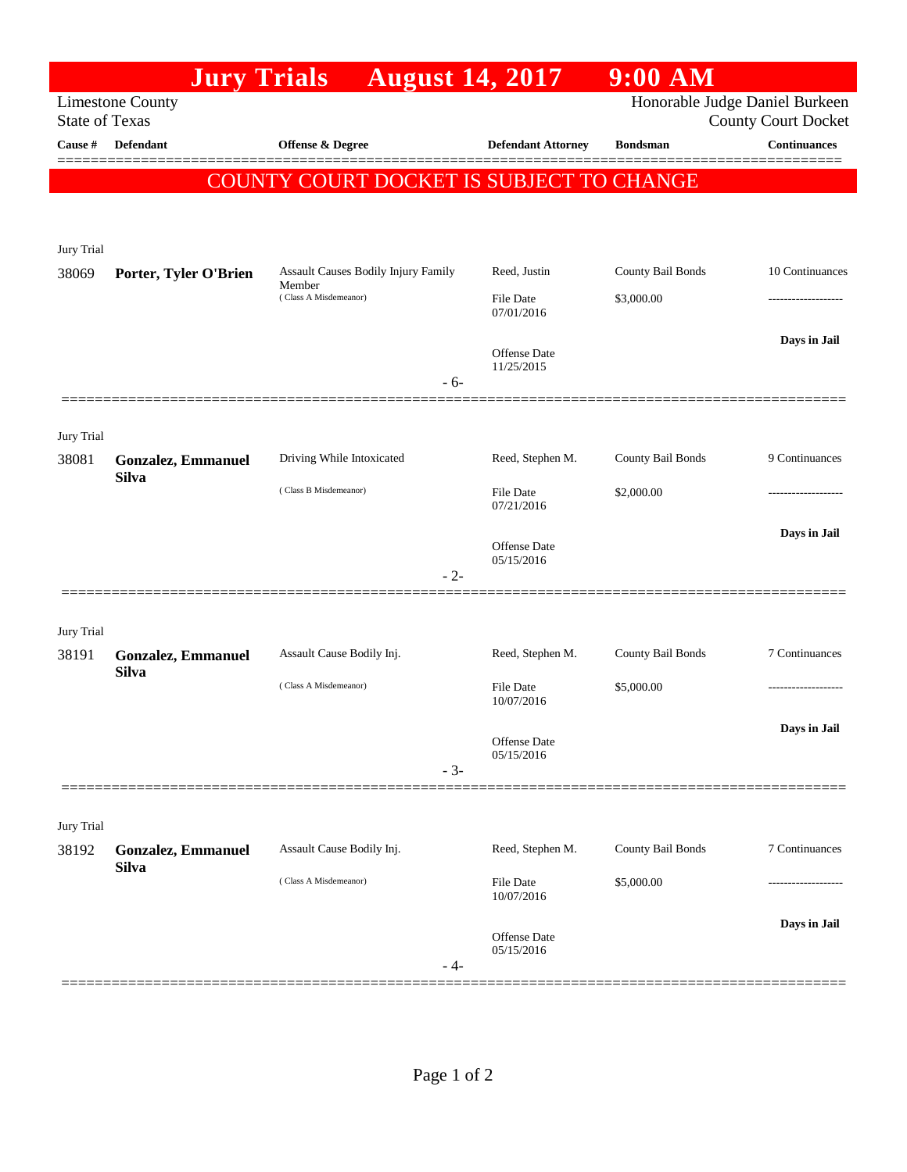|                                                                                    | <b>Jury Trials</b>        | <b>August 14, 2017</b>                                                 |       |                                   | $9:00$ AM         |                                                   |  |  |  |  |  |  |
|------------------------------------------------------------------------------------|---------------------------|------------------------------------------------------------------------|-------|-----------------------------------|-------------------|---------------------------------------------------|--|--|--|--|--|--|
| Honorable Judge Daniel Burkeen<br><b>Limestone County</b><br><b>State of Texas</b> |                           |                                                                        |       |                                   |                   |                                                   |  |  |  |  |  |  |
| Cause #                                                                            | <b>Defendant</b>          | Offense & Degree                                                       |       | <b>Defendant Attorney</b>         | <b>Bondsman</b>   | <b>County Court Docket</b><br><b>Continuances</b> |  |  |  |  |  |  |
|                                                                                    |                           |                                                                        |       |                                   |                   |                                                   |  |  |  |  |  |  |
| COUNTY COURT DOCKET IS SUBJECT TO CHANGE                                           |                           |                                                                        |       |                                   |                   |                                                   |  |  |  |  |  |  |
| Jury Trial                                                                         |                           |                                                                        |       |                                   |                   |                                                   |  |  |  |  |  |  |
| 38069                                                                              | Porter, Tyler O'Brien     | Assault Causes Bodily Injury Family<br>Member<br>(Class A Misdemeanor) |       | Reed, Justin                      | County Bail Bonds | 10 Continuances                                   |  |  |  |  |  |  |
|                                                                                    |                           |                                                                        |       | <b>File Date</b><br>07/01/2016    | \$3,000.00        |                                                   |  |  |  |  |  |  |
|                                                                                    |                           |                                                                        |       | Offense Date<br>11/25/2015        |                   | Days in Jail                                      |  |  |  |  |  |  |
|                                                                                    |                           |                                                                        | $-6-$ |                                   |                   |                                                   |  |  |  |  |  |  |
| Jury Trial                                                                         |                           |                                                                        |       |                                   |                   |                                                   |  |  |  |  |  |  |
| 38081                                                                              | <b>Gonzalez, Emmanuel</b> | Driving While Intoxicated                                              |       | Reed, Stephen M.                  | County Bail Bonds | 9 Continuances                                    |  |  |  |  |  |  |
|                                                                                    | <b>Silva</b>              | (Class B Misdemeanor)                                                  |       | <b>File Date</b><br>07/21/2016    | \$2,000.00        |                                                   |  |  |  |  |  |  |
|                                                                                    |                           |                                                                        | $-2-$ | <b>Offense</b> Date<br>05/15/2016 |                   | Days in Jail                                      |  |  |  |  |  |  |
| Jury Trial                                                                         |                           |                                                                        |       |                                   |                   |                                                   |  |  |  |  |  |  |
| 38191                                                                              | <b>Gonzalez, Emmanuel</b> | Assault Cause Bodily Inj.                                              |       | Reed, Stephen M.                  | County Bail Bonds | 7 Continuances                                    |  |  |  |  |  |  |
|                                                                                    | <b>Silva</b>              | (Class A Misdemeanor)                                                  |       | <b>File Date</b><br>10/07/2016    | \$5,000.00        |                                                   |  |  |  |  |  |  |
|                                                                                    |                           |                                                                        |       | Offense Date<br>05/15/2016        |                   | Days in Jail                                      |  |  |  |  |  |  |
|                                                                                    |                           |                                                                        | $-3-$ |                                   |                   |                                                   |  |  |  |  |  |  |
| Jury Trial                                                                         |                           |                                                                        |       |                                   |                   |                                                   |  |  |  |  |  |  |
| 38192                                                                              | <b>Gonzalez, Emmanuel</b> | Assault Cause Bodily Inj.                                              |       | Reed, Stephen M.                  | County Bail Bonds | 7 Continuances                                    |  |  |  |  |  |  |
|                                                                                    | <b>Silva</b>              | (Class A Misdemeanor)                                                  |       | File Date<br>10/07/2016           | \$5,000.00        |                                                   |  |  |  |  |  |  |
|                                                                                    |                           |                                                                        | - 4-  | Offense Date<br>05/15/2016        |                   | Days in Jail                                      |  |  |  |  |  |  |